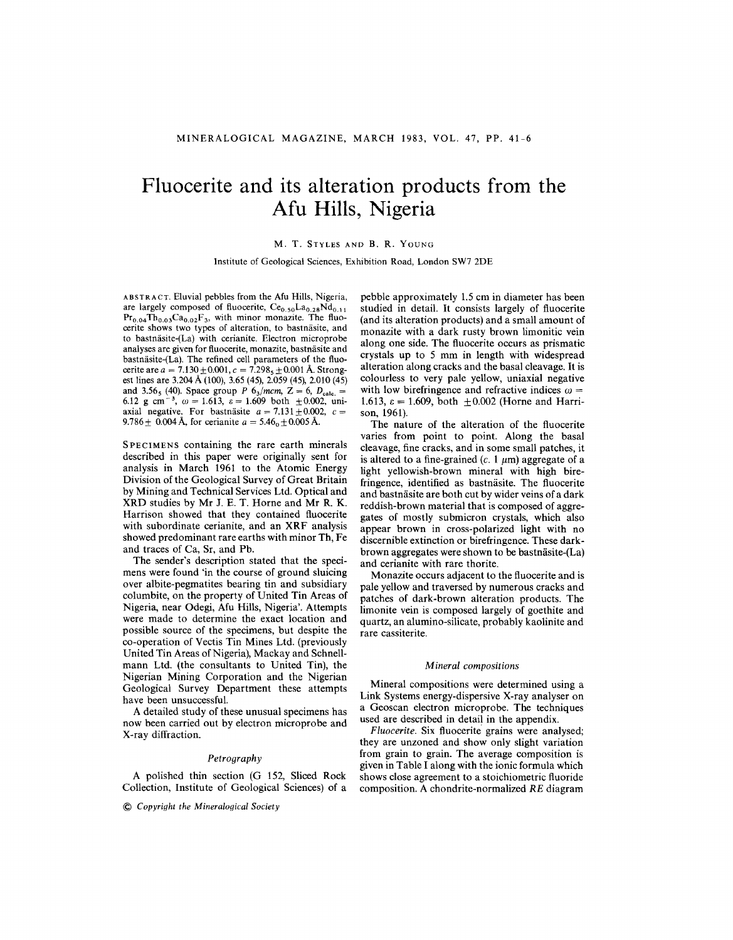# **Fluocerite and its alteration products from the Afu Hills, Nigeria**

## M. T. STYLES AND B. R. YOUNG

Institute of Geological Sciences, Exhibition Road, London SW7 2DE

ABSTRACT. Eluvial pebbles from the *Mu* Hills, Nigeria, are largely composed of fluocerite,  $Ce_{0.50}La_{0.28}Nd_{0.11}$  $Pr<sub>0.04</sub>Th<sub>0.03</sub>Ca<sub>0.02</sub>F<sub>3</sub>$ , with minor monazite. The fluocerite shows two types of alteration, to bastnäsite, and to bastnäsite-(La) with cerianite. Electron microprobe analyses are given for fluocerite, monazite, bastnäsite and bastnäsite-(La). The refined cell parameters of the fluocerite are  $a = 7.130 \pm 0.001$ ,  $c = 7.298$ <sub>5</sub> $\pm 0.001$  A. Strong est lines are 3.204 A (100), 3.65 (45),2.059 (45), 2.010 (45) and 3.56<sub>5</sub> (40). Space group *P*  $6_3/mcm$ ,  $Z = 6$ ,  $D_{\text{calc.}} =$ 6.12 g cm<sup>-3</sup>,  $\omega = 1.613$ ,  $\varepsilon = 1.609$  both  $\pm 0.002$ , uni axial negative. For bastnäsite  $a = 7.131 \pm 0.002$ ,  $c =$  $9.786 \pm 0.004$  A, for cerianite  $a = 5.46_0 \pm 0.005$ 

SPECIMENS containing the rare earth minerals described in this paper were originally sent for analysis in March 1961 to the Atomic Energy Division of the Geological Survey of Great Britain by Mining and Technical Services Ltd. Optical and XRD studies by Mr J. E. T. Horne and Mr R. K. Harrison showed that they contained fluocerite with subordinate cerianite, and an XRF analysis showed predominant rare earths with minor Th, Fe and traces of Ca, Sr, and Pb.

The sender's description stated that the specimens were found 'in the course of ground sluicing over albite-pegmatites bearing tin and subsidiary columbite, on the property of United Tin Areas of Nigeria, near Odegi, Afu Hills, Nigeria'. Attempts were made to determine the exact location and possible source of the specimens, but despite the co-operation of Vectis Tin Mines Ltd. (previously United Tin Areas of Nigeria), Mackay and Schnellmann Ltd. (the consultants to United Tin), the Nigerian Mining Corporation and the Nigerian Geological Survey Department these attempts have been unsuccessful.

A detailed study of these unusual specimens has now been carried out by electron microprobe and X-ray diffraction.

## *Petrography*

A polished thin section (G 152, Sliced Rock Collection, Institute of Geological Sciences) of a

@ *Copyright the Mineralogical Society*

pebble approximately 1.5 em in diameter has been studied in detail. It consists largely of fluocerite (and its alteration products) and a small amount of monazite with a dark rusty brown limonitic vein along one side. The fluocerite occurs as prismatic crystals up to 5 mm in length with widespread alteration along cracks and the basal cleavage. It is colourless to very pale yellow, uniaxial negative with low birefringence and refractive indices  $\omega=$ 1.613,  $\varepsilon = 1.609$ , both  $\pm 0.002$  (Horne and Harri son, 1961).

The nature of the alteration of the fluocerite varies from point to point. Along the basal cleavage, fine cracks, and in some small patches, it is altered to a fine-grained  $(c. 1 \mu m)$  aggregate of a light yellowish-brown mineral with high birefringence, identified as bastnäsite. The fluocerite and bastnasite are both cut by wider veins of a dark reddish-brown material that is composed of aggregates of mostly submicron crystals, which also appear brown in cross-polarized light with no discernible extinction or birefringence. These darkbrown aggregates were shown to be bastnasite-(La) and cerianite with rare thorite.

Monazite occurs adjacent to the fluocerite and is pale yellow and traversed by numerous cracks and patches of dark-brown alteration products. The limonite vein is composed largely of goethite and quartz, an alumino-silicate, probably kaolinite and rare cassiterite.

### *Mineral compositions*

Mineral compositions were determined using a Link Systems energy-dispersive X-ray analyser on a Geoscan electron microprobe. The techniques used are described in detail in the appendix.

*Fluocerite.* Six fluocerite grains were analysed; they are unzoned and show only slight variation from grain to grain. The average composition is given in Table I along with the ionic formula which shows close agreement to a stoichiometric fluoride composition. Achondrite-normalized *RE* diagram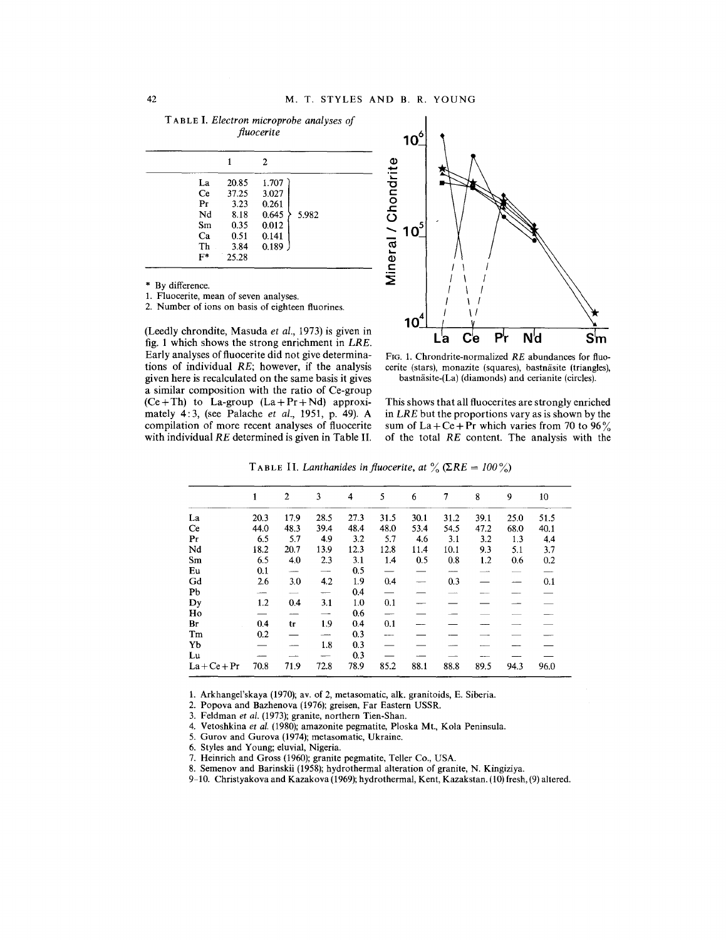T ABLE I. *Electron microprobe analyses of fluocerite*

|       |       | 2     |       |
|-------|-------|-------|-------|
| La    | 20.85 | 1.707 |       |
| Ce    | 37.25 | 3.027 |       |
| Pr    | 3.23  | 0.261 |       |
| Nd    | 8.18  | 0.645 | 5.982 |
| Sm    | 0.35  | 0.012 |       |
| Ca    | 0.51  | 0.141 |       |
| Th    | 3.84  | 0.189 |       |
| $F^*$ | 25.28 |       |       |

By difference.

1. Fluocerite, mean of seven analyse

2. Number of ions on basis of eighteen fluorines.

(Leedly chrondite, Masuda *et al.,* 1973) is given in fig. 1 which shows the strong enrichment in *LRE.* Early analyses of fluocerite did not give determinations of individual *RE;* however, if the analysis given here is recalculated on the same basis it gives a similar composition with the ratio of Ce-group  $(Ce + Th)$  to La-group  $(La + Pr + Nd)$  approximately 4: 3, (see Palache *et al.,* 1951, p. 49). A compilation of more recent analyses of fluocerite with individual *RE* determined is given in Table II.



FIG. 1. Chrondrite-normalized *RE* abundances for fluocerite (stars), monazite (squares), bastnäsite (triangles), bastnäsite-(La) (diamonds) and cerianite (circles).

This shows that all fluocerites are strongly enriched in *LRE* but the proportions vary as is shown by the sum of La + Ce + Pr which varies from 70 to 96% of the total *RE* content. The analysis with the

**T**ABLE II. *Lanthanides in fluocerite, at*  $\%$  ( $\Sigma RE = 100\%$ )

|                | 1    | $\overline{2}$ | 3                        | 4    | 5                        | 6                        | 7    | 8    | 9    | 10   |
|----------------|------|----------------|--------------------------|------|--------------------------|--------------------------|------|------|------|------|
| La             | 20.3 | 17.9           | 28.5                     | 27.3 | 31.5                     | 30.1                     | 31.2 | 39.1 | 25.0 | 51.5 |
| Ce             | 44.0 | 48.3           | 39.4                     | 48.4 | 48.0                     | 53.4                     | 54.5 | 47.2 | 68.0 | 40.1 |
| Pr             | 6.5  | 5.7            | 4.9                      | 3.2  | 5.7                      | 4.6                      | 3.1  | 3.2  | 1.3  | 4,4  |
| Nd             | 18.2 | 20.7           | 13.9                     | 12.3 | 12.8                     | 11.4                     | 10.1 | 9.3  | 5.1  | 3.7  |
| Sm             | 6.5  | 4.0            | 2.3                      | 3.1  | 1.4                      | 0.5                      | 0.8  | 1.2  | 0.6  | 0.2  |
| Eu             | 0.1  |                | $\overline{\phantom{a}}$ | 0.5  | $\overline{\phantom{0}}$ |                          |      |      |      |      |
| Gd             | 2.6  | 3.0            | 4.2                      | 1.9  | 0.4                      | $\overline{\phantom{a}}$ | 0.3  |      |      | 0.1  |
| Pb             |      |                | $\overline{\phantom{0}}$ | 0.4  | $\overline{\phantom{0}}$ |                          |      |      |      |      |
| Dy             | 1.2  | 0.4            | 3.1                      | 1.0  | 0.1                      |                          |      |      |      |      |
| Ho             |      |                |                          | 0.6  | <u></u>                  |                          |      |      |      |      |
| Br             | 0.4  | tr             | 1.9                      | 0.4  | 0.1                      |                          |      |      |      |      |
| Tm             | 0.2  |                |                          | 0.3  |                          |                          |      |      |      |      |
| Yb             |      |                | 1.8                      | 0.3  |                          |                          |      |      |      |      |
| Lu             |      |                |                          | 0.3  |                          |                          |      |      |      |      |
| $La + Ce + Pr$ | 70.8 | 71.9           | 72.8                     | 78.9 | 85.2                     | 88.1                     | 88.8 | 89.5 | 94.3 | 96.0 |

1. Arkhangel'skaya (1970); av. of 2, metasomatic, alk. granitoids, E. Siberia.

2. Popova and Bazhenova (1976); greisen, Far Eastern USSR.

3. Feldman *et al.* (1973); granite, northern Tien-Shan.

4. Vetoshkina *et al.* (1980); amazonite pegmatite, Ploska Mt., Kola Peninsula.

5. Gurov and Gurova (1974); metasomatic, Ukraine.

6. Styles and Young; eluvial, Nigeria.

7. Heinrich and Gross (1960); granite pegmatite, Teller Co., USA.

8. Semenov and Barinskii (1958); hydrothermal alteration of granite, N. Kingiziya.

9-10. Christyakova and Kazakova (1969); hydrothermal, Kent, Kazakstan. (10) fresh, (9) altered.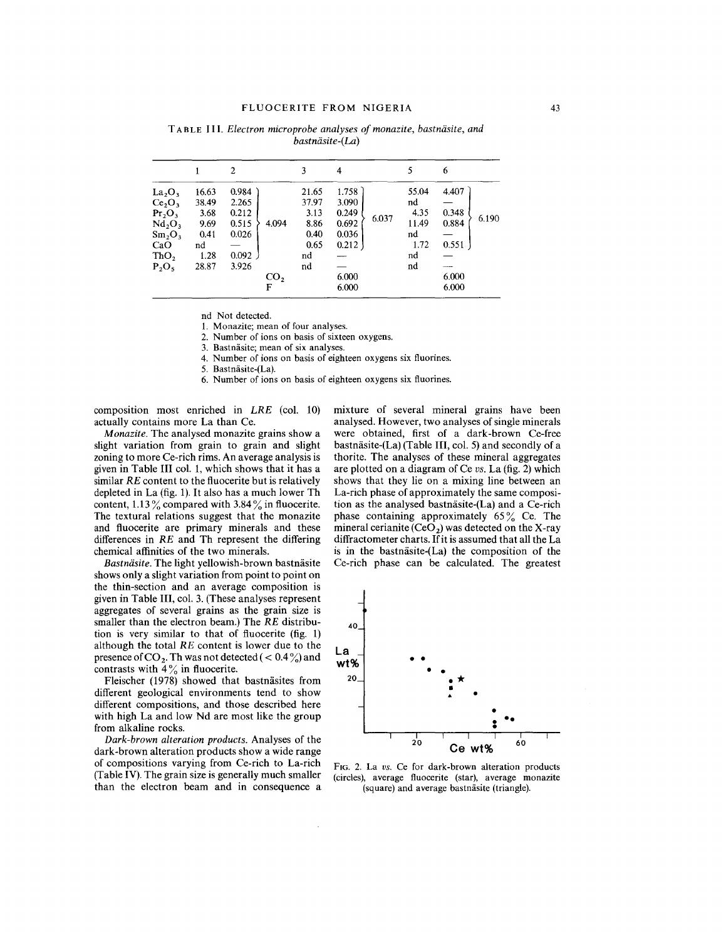|                                                                                                                                                                     |                                                               | 2                                                           |              | 3                                                          | 4                                                           | 5                                                               | 6                                                  |
|---------------------------------------------------------------------------------------------------------------------------------------------------------------------|---------------------------------------------------------------|-------------------------------------------------------------|--------------|------------------------------------------------------------|-------------------------------------------------------------|-----------------------------------------------------------------|----------------------------------------------------|
| $La_2O_3$<br>Ce <sub>2</sub> O <sub>3</sub><br>Pr <sub>2</sub> O <sub>3</sub><br>Nd <sub>2</sub> O <sub>3</sub><br>$Sm_2O_3$<br>CaO<br>ThO <sub>2</sub><br>$P_2O_5$ | 16.63<br>38.49<br>3.68<br>9.69<br>0.41<br>nd<br>1.28<br>28.87 | 0.984<br>2.265<br>0.212<br>0.515<br>0.026<br>0.092<br>3.926 | 4.094<br>CO, | 21.65<br>37.97<br>3.13<br>8.86<br>0.40<br>0.65<br>nd<br>nd | 1.758<br>3.090<br>0.249<br>0.692<br>0.036<br>0.212<br>6.000 | 55.04<br>nd<br>4.35<br>6.037<br>11.49<br>nd<br>1.72<br>nd<br>nd | 4.407<br>0.348<br>6.190<br>0.884<br>0.551<br>6.000 |
|                                                                                                                                                                     |                                                               |                                                             | F            |                                                            | 6.000                                                       |                                                                 | 6.000                                              |

TAB LE II 1. *Electron microprobe analyses of monazite, bastniisite, and bastniisite-(La)*

nd Not detected.

1. Monazite; mean of four analyses.

2. Number of ions on basis of sixteen oxygens.

3. Bastnäsite; mean of six analyses.

4. Number of ions on basis of eighteen oxygens six fluorines.

5. Bastnasite-(La).

6. Number of ions on basis of eighteen oxygens six fluorines.

composition most enriched in *LRE* (co!. 10) actually contains more La than Ce.

*Monazite.* The analysed monazite grains show a slight variation from grain to grain and slight zoning to more Ce-rich rims. An average analysis is given in Table **III** co!. 1, which shows that it has a similar *RE* content to the fluocerite but is relatively depleted in La (fig. 1).It also has a much lower Th content, 1.13  $\%$  compared with 3.84  $\%$  in fluocerite. The textural relations suggest that the monazite and fluocerite are primary minerals and these differences in *RE* and Th represent the differing chemical affinities of the two minerals.

Bastnäsite. The light yellowish-brown bastnäsite shows only a slight variation from point to point on the thin-section and an average composition is given in Table III, col. 3. (These analyses represent aggregates of several grains as the grain size is smaller than the electron beam.) The *RE* distribution is very similar to that of fluocerite (fig. 1) although the total *RE* content is lower due to the presence of CO<sub>2</sub>. Th was not detected (  $< 0.4\%$ ) and contrasts with  $4\%$  in fluocerite.

Fleischer (1978) showed that bastnäsites from different geological environments tend to show different compositions, and those described here with high La and low Nd are most like the group from alkaline rocks.

*Dark-brown alteration products.* Analyses of the dark-brown alteration products show a wide range of compositions varying from Ce-rich to La-rich (Table IV). The grain size is generally much smaller than the electron beam and in consequence a mixture of several mineral grains have been analysed. However, two analyses of single minerals were obtained, first of a dark-brown Ce-free bastnäsite- $(La)$  (Table III, col. 5) and secondly of a thorite. The analyses of these mineral aggregates are plotted on a diagram of Ce *us.* La (fig. 2) which shows that they lie on a mixing line between an La-rich phase of approximately the same composition as the analysed bastnäsite- $(La)$  and a Ce-rich phase containing approximately  $65\%$  Ce. The mineral cerianite  $(CeO<sub>2</sub>)$  was detected on the X-ray diffractometer charts. If it is assumed that all the La is in the bastnäsite-(La) the composition of the Ce-rich phase can be calculated. The greatest



FIG. 2. La *vs.* Ce for dark-brown alteration products (circles), average fluocerite (star), average monazite (square) and average bastnasite (triangle).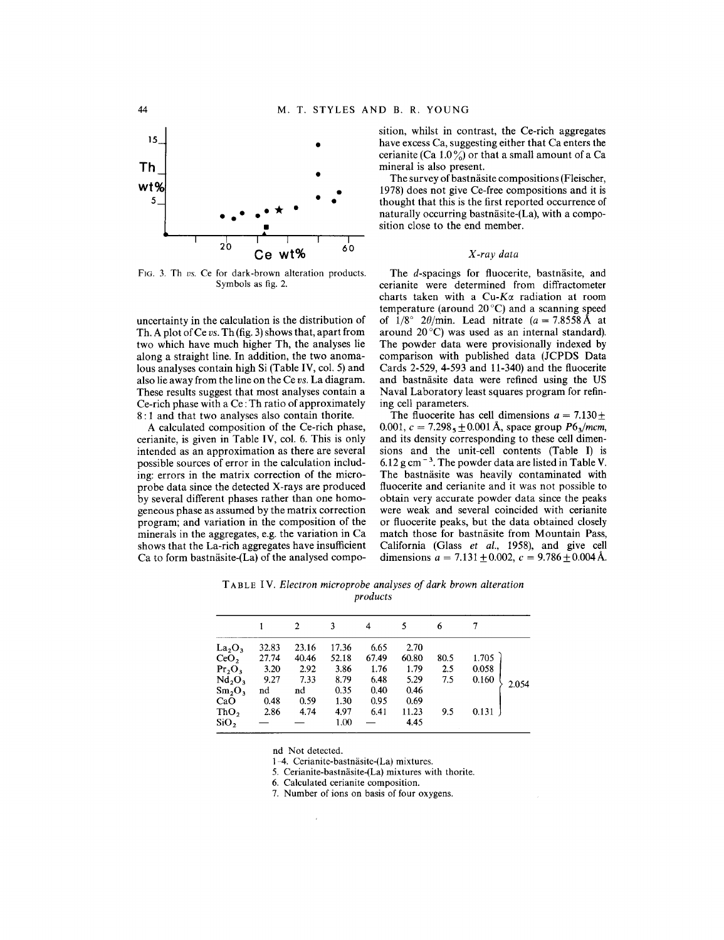

FIG. 3. Th *us.* Ce for dark-brown alteration products. Symbols as fig. 2.

uncertainty in the calculation is the distribution of Th. A plot of Ce *vs.* Th (fig. 3) shows that, apart from two which have much higher Th, the analyses lie along a straight line. **In** addition, the two anomalous analyses contain high Si (Table IV, col. 5) and also lie away from the line on the Ce *vs.* La diagram. These results suggest that most analyses contain a Ce-rich phase with a Ce :Th ratio of approximately 8 : 1 and that two analyses also contain thorite.

A calculated composition of the Ce-rich phase, cerianite, is given in Table IV, col. 6. This is only intended as an approximation as there are several possible sources of error in the calculation including: errors in the matrix correction of the microprobe data since the detected X-rays are produced by several different phases rather than one homogeneous phase as assumed by the matrix correction program; and variation in the composition of the minerals in the aggregates, e.g. the variation in Ca shows that the La-rich aggregates have insufficient Ca to form bastnäsite-(La) of the analysed composition, whilst in contrast, the Ce-rich aggregates have excess Ca, suggesting either that Ca enters the cerianite (Ca  $1.0\%$ ) or that a small amount of a Ca mineral is also present.

The survey of bastnäsite compositions (Fleischer, 1978) does not give Ce-free compositions and it is thought that this is the first reported occurrence of naturally occurring bastnäsite- $(La)$ , with a composition close to the end member.

#### *X-ray data*

The *d*-spacings for fluocerite, bastnäsite, and cerianite were determined from diffractometer charts taken with a Cu-K $\alpha$  radiation at room temperature (around 20°C) and a scanning speed of  $1/8^{\circ}$   $2\theta/\text{min}$ . Lead nitrate  $(a = 7.8558 \text{ A})$  at around  $20^{\circ}$ C) was used as an internal standard). The powder data were provisionally indexed by comparison with published data (JCPDS Data Cards 2-529, 4-593 and 11-340) and the fluocerite and bastnäsite data were refined using the US Naval Laboratory least squares program for refining cell parameters.

The fluocerite has cell dimensions  $a = 7.130 \pm 0.000$ 0.001,  $c = 7.298, +0.001 \text{ Å}$ , space group  $P6<sub>3</sub>/mcm$ , and its density corresponding to these cell dimensions and the unit-cell contents (Table **I)** is  $6.12$  g cm<sup>-3</sup>. The powder data are listed in Table V. The bastnäsite was heavily contaminated with fluocerite and cerianite and it was not possible to obtain very accurate powder data since the peaks were weak and several coincided with cerianite or fluocerite peaks, but the data obtained closely match those for bastnäsite from Mountain Pass, California (Glass *et al.,* 1958), and give cell dimensions  $a = 7.131 \pm 0.002$ ,  $c = 9.786 \pm 0.004$ 

T ABLE IV. *Electron microprobe analyses of dark brown alteration products*

|                                |       |       | ٩     | 4     | 5     | 6    |       |       |
|--------------------------------|-------|-------|-------|-------|-------|------|-------|-------|
| $La_2O_3$                      | 32.83 | 23.16 | 17.36 | 6.65  | 2.70  |      |       |       |
| CeO <sub>2</sub>               | 27.74 | 40.46 | 52.18 | 67.49 | 60.80 | 80.5 | 1.705 |       |
| Pr <sub>2</sub> O <sub>3</sub> | 3.20  | 2.92  | 3.86  | 1.76  | 1.79  | 2.5  | 0.058 |       |
| Nd <sub>2</sub> O <sub>3</sub> | 9.27  | 7.33  | 8.79  | 6.48  | 5.29  | 7.5  | 0.160 | 2.054 |
| Sm <sub>2</sub> O <sub>3</sub> | nd    | nd    | 0.35  | 0.40  | 0.46  |      |       |       |
| CaO                            | 0.48  | 0.59  | 1.30  | 0.95  | 0.69  |      |       |       |
| ThO <sub>2</sub>               | 2.86  | 4.74  | 4.97  | 6.41  | 11.23 | 9.5  | 0.131 |       |
| SiO <sub>2</sub>               |       |       | 1.00  |       | 4.45  |      |       |       |

nd Not detected.

1-4. Cerianite-bastnasite-(La) mixtures.

5. Cerianite-bastnasite-(La) mixtures with thorite.

6. Calculated cerianite composition.

7. Number of ions on basis of four oxygens.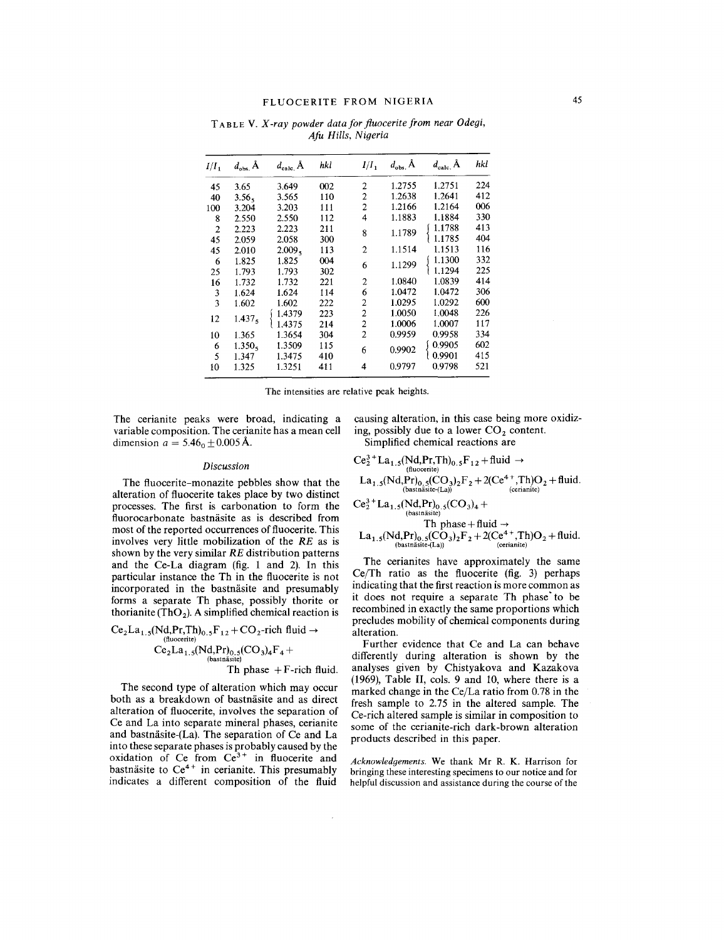TABLE V. *X-ray powder data for fluoceritefrom near Odegi, Afu Hills, Nigeria*

| $I/I_1$        | $d_{\rm obs}$ A    | $d_{\text{calc}}$ $\AA$ | hkl | $I/I_1$        | $d_{\rm obs.}$ A | $d_{\text{calc}}$ Å | hkl |
|----------------|--------------------|-------------------------|-----|----------------|------------------|---------------------|-----|
| 45             | 3.65               | 3.649                   | 002 | $\overline{c}$ | 1.2755           | 1.2751              | 224 |
| 40             | 3.56 <sub>5</sub>  | 3.565                   | 110 | $\overline{c}$ | 1.2638           | 1.2641              | 412 |
| 100            | 3.204              | 3.203                   | 111 | 2              | 1.2166           | 1.2164              | 006 |
| 8              | 2.550              | 2.550                   | 112 | 4              | 1.1883           | 1.1884              | 330 |
| $\overline{2}$ | 2.223              | 2.223                   | 211 | 8              | 1.1789           | 1.1788              | 413 |
| 45             | 2.059              | 2.058                   | 300 |                |                  | 1.1785              | 404 |
| 45             | 2.010              | 2.009 <sub>5</sub>      | 113 | $\overline{c}$ | 1.1514           | 1.1513              | 116 |
| 6              | 1.825              | 1.825                   | 004 | 6              | 1.1299           | 1.1300              | 332 |
| 25             | 1.793              | 1.793                   | 302 |                |                  | 1.1294              | 225 |
| 16             | 1.732              | 1.732                   | 221 | 2              | 1.0840           | 1.0839              | 414 |
| 3              | 1.624              | 1.624                   | 114 | 6              | 1.0472           | 1.0472              | 306 |
| 3              | 1.602              | 1.602                   | 222 | $\overline{2}$ | 1.0295           | 1.0292              | 600 |
|                |                    | 1.4379                  | 223 | $\overline{c}$ | 1.0050           | 1.0048              | 226 |
| 12             | 1.437 <sub>5</sub> | 1.4375                  | 214 | $\overline{c}$ | 1.0006           | 1.0007              | 117 |
| 10             | 1.365              | 1.3654                  | 304 | $\overline{2}$ | 0.9959           | 0.9958              | 334 |
| 6              | $1.350_{5}$        | 1.3509                  | 115 | 6              | 0.9902           | 0.9905              | 602 |
| 5              | 1.347              | 1.3475                  | 410 |                |                  | 0.9901              | 415 |
| 10             | 1.325              | 1.3251                  | 411 | 4              | 0.9797           | 0.9798              | 521 |

The intensities are relative peak heights.

 $\mathcal{A}$ 

The cerianite peaks were broad, indicating a variable composition. The cerianite has a mean cell dimension  $a = 5.46_0 \pm 0.005$  Å.

causing alteration, in this case being more oxidizing, possibly due to a lower  $CO<sub>2</sub>$  content. Simplified chemical reactions are

#### *Discussion*

The fluocerite-monazite pebbles show that the alteration of fluocerite takes place by two distinct processes. The first is carbonation to form the fluorocarbonate bastnäsite as is described from most of the reported occurrences of fluocerite. This involves very little mobilization of the *RE* as is shown by the very similar *RE* distribution patterns and the Ce-La diagram (fig. 1 and 2). **In** this particular instance the Th in the fluocerite is not incorporated in the bastnäsite and presumably forms a separate Th phase, possibly thorite or thorianite (ThO<sub>2</sub>). A simplified chemical reaction is

$$
Ce2La1.5(Nd, Pr, Th)0.5F12 + CO2-rich fluid \rightarrow
$$
  
\n
$$
Ce2La1.5(Nd, Pr)0.5(CO3)4F4 +
$$
\n
$$
P1(bastnäsite)
$$
\n
$$
Th phase + F-rich fluid.
$$

The second type of alteration which may occur both as a breakdown of bastnäsite and as direct alteration of fluocerite, involves the separation of Ce and La into separate mineral phases, cerianite and bastnäsite- $(La)$ . The separation of Ce and  $La$ into these separate phases is probably caused by the oxidation of Ce from  $Ce^{3+}$  in fluocerite and bastnäsite to  $Ce^{4+}$  in cerianite. This presumabl indicates a different composition of the fluid

 $Ce_2^{3+}La_{1.5}(Nd,Pr,Th)_{0.5}F_{12} + fluid \rightarrow$  $\text{La}_{1.5}(\text{Nd},\text{Pr})_{0.5}(\text{CO}_3)_2\text{F}_2 + 2(\text{Ce}^{4+},\text{Th})\text{O}_2 + \text{fluid}.$ <br>
(bastnäsite-(La))

$$
Ce_2^{3+}La_{1.5}(Nd, Pr)_{0.5}(CO_3)_4 +
$$
  
\n
$$
Th phase + fluid \rightarrow
$$

$$
La_{1.5}(Nd,Pr)_{0.5}(CO_3)_2F_2+2(Ce^{4+},Th)O_2+fluid.\\ \text{\tiny (cosimistic-}(La))\text{\tiny (cerianite)}
$$

The cerianites have approximately the same Ce/Th ratio as the fluocerite (fig. 3) perhaps indicating that the first reaction is more common as it does not require a separate Th phase' to be recombined in exactly the same proportions which precludes mobility of chemical components during alteration.

Further evidence that Ce and La can behave differently during alteration is shown by the analyses given by Chistyakova and Kazakova (1969), Table **II,** cols. 9 and 10, where there is a marked change in the Ce/La ratio from 0.78 in the fresh sample to 2.75 in the altered sample. The Ce-rich altered sample is similar in composition to some of the cerianite-rich dark-brown alteration products described in this paper.

*Acknowledgements.* We thank Mr R. K. Harrison for bringing these interesting specimens to our notice and for helpful discussion and assistance during the course of the